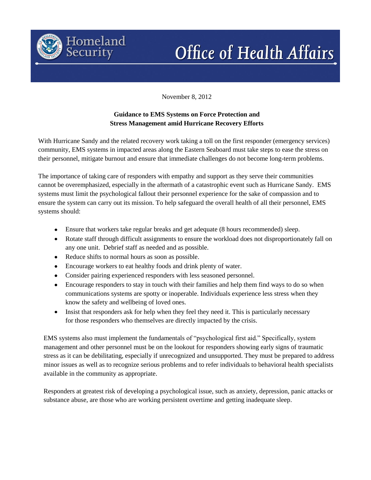

# **Office of Health Affairs**

November 8, 2012

## **Guidance to EMS Systems on Force Protection and Stress Management amid Hurricane Recovery Efforts**

With Hurricane Sandy and the related recovery work taking a toll on the first responder (emergency services) community, EMS systems in impacted areas along the Eastern Seaboard must take steps to ease the stress on their personnel, mitigate burnout and ensure that immediate challenges do not become long-term problems.

The importance of taking care of responders with empathy and support as they serve their communities cannot be overemphasized, especially in the aftermath of a catastrophic event such as Hurricane Sandy. EMS systems must limit the psychological fallout their personnel experience for the sake of compassion and to ensure the system can carry out its mission. To help safeguard the overall health of all their personnel, EMS systems should:

- Ensure that workers take regular breaks and get adequate (8 hours recommended) sleep.  $\bullet$
- Rotate staff through difficult assignments to ensure the workload does not disproportionately fall on any one unit. Debrief staff as needed and as possible.
- Reduce shifts to normal hours as soon as possible.
- Encourage workers to eat healthy foods and drink plenty of water.
- Consider pairing experienced responders with less seasoned personnel.
- Encourage responders to stay in touch with their families and help them find ways to do so when communications systems are spotty or inoperable. Individuals experience less stress when they know the safety and wellbeing of loved ones.
- Insist that responders ask for help when they feel they need it. This is particularly necessary  $\bullet$ for those responders who themselves are directly impacted by the crisis.

EMS systems also must implement the fundamentals of "psychological first aid." Specifically, system management and other personnel must be on the lookout for responders showing early signs of traumatic stress as it can be debilitating, especially if unrecognized and unsupported. They must be prepared to address minor issues as well as to recognize serious problems and to refer individuals to behavioral health specialists available in the community as appropriate.

Responders at greatest risk of developing a psychological issue, such as anxiety, depression, panic attacks or substance abuse, are those who are working persistent overtime and getting inadequate sleep.